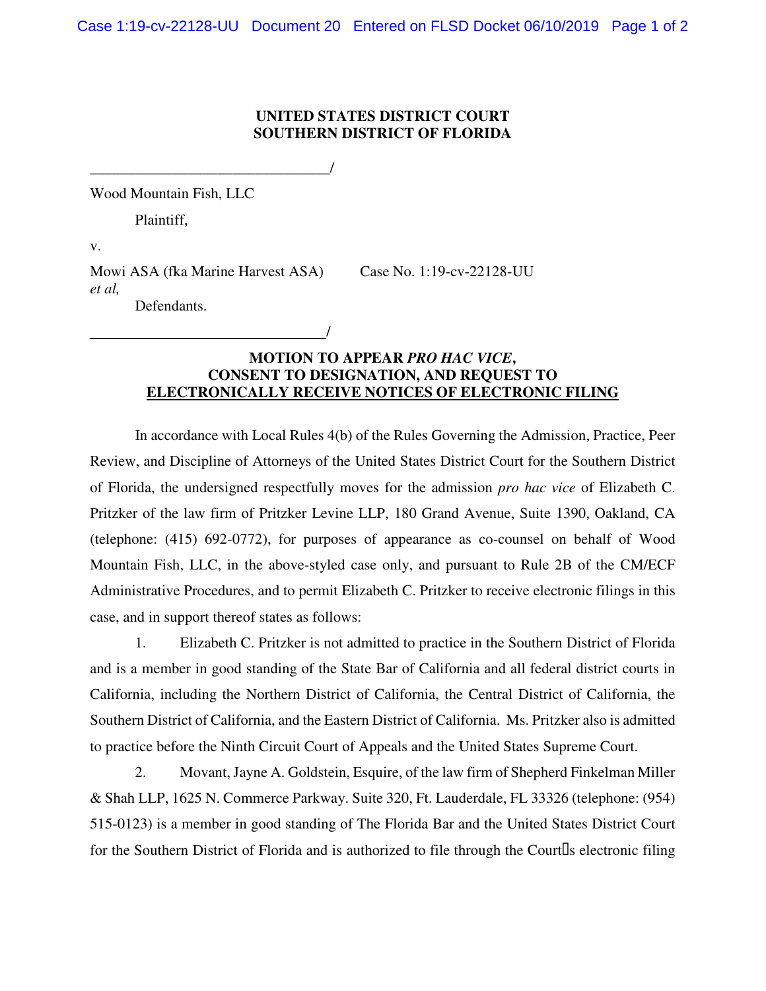## **UNITED STATES DISTRICT COURT SOUTHERN DISTRICT OF FLORIDA**

Wood Mountain Fish, LLC

Plaintiff,

v.

Mowi ASA (fka Marine Harvest ASA) Case No. 1:19-cv-22128-UU *et al,*  Defendants.

/

\_\_\_\_\_\_\_\_\_\_\_\_\_\_\_\_\_\_\_\_\_\_\_\_\_\_\_\_\_\_\_\_/

## **MOTION TO APPEAR** *PRO HAC VICE***, CONSENT TO DESIGNATION, AND REQUEST TO ELECTRONICALLY RECEIVE NOTICES OF ELECTRONIC FILING**

In accordance with Local Rules 4(b) of the Rules Governing the Admission, Practice, Peer Review, and Discipline of Attorneys of the United States District Court for the Southern District of Florida, the undersigned respectfully moves for the admission *pro hac vice* of Elizabeth C. Pritzker of the law firm of Pritzker Levine LLP, 180 Grand Avenue, Suite 1390, Oakland, CA (telephone: (415) 692-0772), for purposes of appearance as co-counsel on behalf of Wood Mountain Fish, LLC, in the above-styled case only, and pursuant to Rule 2B of the CM/ECF Administrative Procedures, and to permit Elizabeth C. Pritzker to receive electronic filings in this case, and in support thereof states as follows:

1. Elizabeth C. Pritzker is not admitted to practice in the Southern District of Florida and is a member in good standing of the State Bar of California and all federal district courts in California, including the Northern District of California, the Central District of California, the Southern District of California, and the Eastern District of California. Ms. Pritzker also is admitted to practice before the Ninth Circuit Court of Appeals and the United States Supreme Court.

2. Movant, Jayne A. Goldstein, Esquire, of the law firm of Shepherd Finkelman Miller & Shah LLP, 1625 N. Commerce Parkway. Suite 320, Ft. Lauderdale, FL 33326 (telephone: (954) 515-0123) is a member in good standing of The Florida Bar and the United States District Court for the Southern District of Florida and is authorized to file through the Court s electronic filing